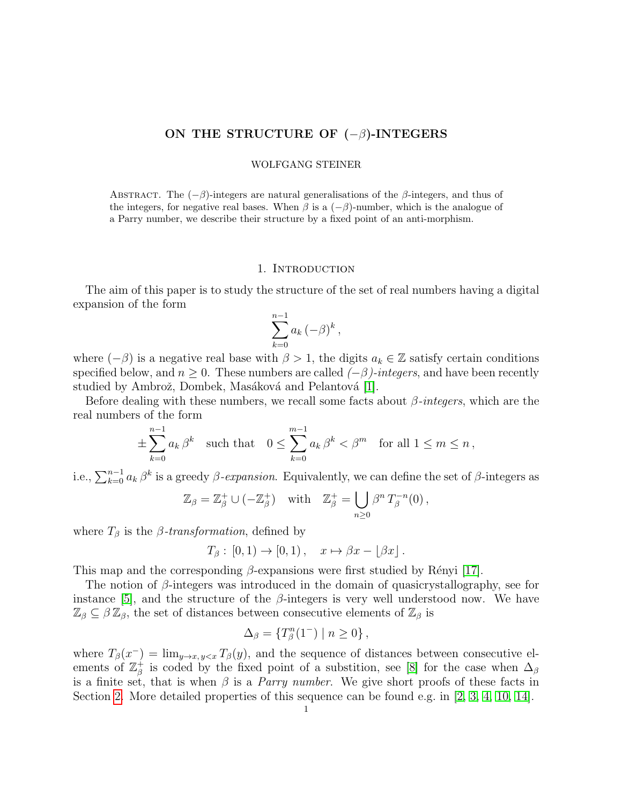# ON THE STRUCTURE OF  $(-\beta)$ -INTEGERS

#### WOLFGANG STEINER

ABSTRACT. The  $(-\beta)$ -integers are natural generalisations of the  $\beta$ -integers, and thus of the integers, for negative real bases. When  $\beta$  is a  $(-\beta)$ -number, which is the analogue of a Parry number, we describe their structure by a fixed point of an anti-morphism.

### 1. INTRODUCTION

The aim of this paper is to study the structure of the set of real numbers having a digital expansion of the form

$$
\sum_{k=0}^{n-1} a_k \, (-\beta)^k \,,
$$

where  $(-\beta)$  is a negative real base with  $\beta > 1$ , the digits  $a_k \in \mathbb{Z}$  satisfy certain conditions specified below, and  $n \geq 0$ . These numbers are called  $(-\beta)$ -integers, and have been recently studied by Ambrož, Dombek, Masáková and Pelantová [\[1\]](#page-14-0).

Before dealing with these numbers, we recall some facts about  $\beta$ -integers, which are the real numbers of the form

$$
\pm \sum_{k=0}^{n-1} a_k \beta^k \quad \text{such that} \quad 0 \le \sum_{k=0}^{m-1} a_k \beta^k < \beta^m \quad \text{for all } 1 \le m \le n \,,
$$

i.e.,  $\sum_{k=0}^{n-1} a_k \beta^k$  is a greedy  $\beta$ -expansion. Equivalently, we can define the set of  $\beta$ -integers as

$$
\mathbb{Z}_{\beta} = \mathbb{Z}_{\beta}^{+} \cup (-\mathbb{Z}_{\beta}^{+}) \quad \text{with} \quad \mathbb{Z}_{\beta}^{+} = \bigcup_{n \geq 0} \beta^{n} T_{\beta}^{-n}(0),
$$

where  $T_\beta$  is the  $\beta$ -transformation, defined by

$$
T_{\beta} : [0,1) \to [0,1), \quad x \mapsto \beta x - \lfloor \beta x \rfloor.
$$

This map and the corresponding  $\beta$ -expansions were first studied by Rényi [\[17\]](#page-14-1).

The notion of  $\beta$ -integers was introduced in the domain of quasicrystallography, see for instance [\[5\]](#page-14-2), and the structure of the  $\beta$ -integers is very well understood now. We have  $\mathbb{Z}_{\beta} \subseteq \beta \mathbb{Z}_{\beta}$ , the set of distances between consecutive elements of  $\mathbb{Z}_{\beta}$  is

$$
\Delta_{\beta} = \{ T_{\beta}^{n}(1^{-}) \mid n \ge 0 \},
$$

where  $T_{\beta}(x^-) = \lim_{y \to x, y \leq x} T_{\beta}(y)$ , and the sequence of distances between consecutive elements of  $\mathbb{Z}_3^+$ <sup>+</sup> is coded by the fixed point of a substition, see [\[8\]](#page-14-3) for the case when  $\Delta_{\beta}$ is a finite set, that is when  $\beta$  is a *Parry number*. We give short proofs of these facts in Section [2.](#page-2-0) More detailed properties of this sequence can be found e.g. in [\[2,](#page-14-4) [3,](#page-14-5) [4,](#page-14-6) [10,](#page-14-7) [14\]](#page-14-8).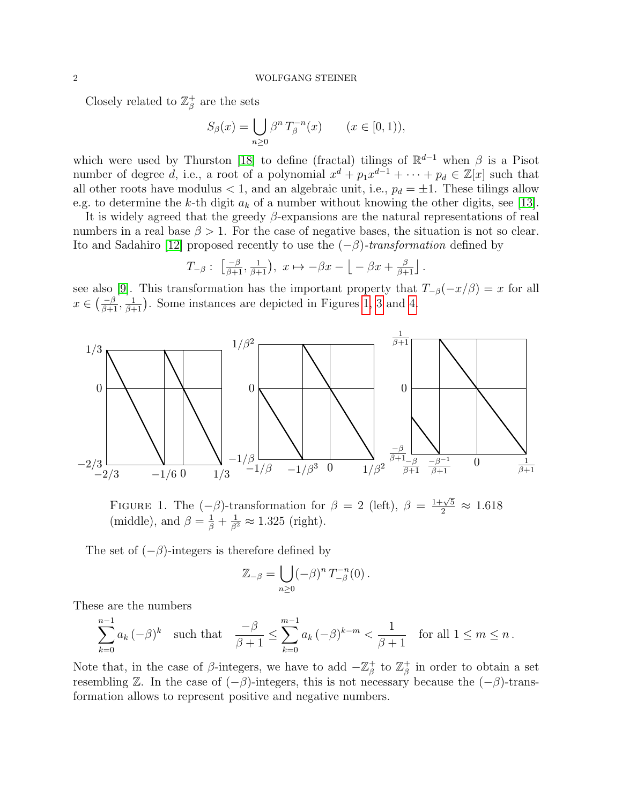Closely related to  $\mathbb{Z}_8^+$  $\frac{1}{\beta}$  are the sets

$$
S_{\beta}(x) = \bigcup_{n \ge 0} \beta^n T_{\beta}^{-n}(x) \qquad (x \in [0, 1)),
$$

which were used by Thurston [\[18\]](#page-14-9) to define (fractal) tilings of  $\mathbb{R}^{d-1}$  when  $\beta$  is a Pisot number of degree d, i.e., a root of a polynomial  $x^d + p_1 x^{d-1} + \cdots + p_d \in \mathbb{Z}[x]$  such that all other roots have modulus  $< 1$ , and an algebraic unit, i.e.,  $p_d = \pm 1$ . These tilings allow e.g. to determine the k-th digit  $a_k$  of a number without knowing the other digits, see [\[13\]](#page-14-10).

It is widely agreed that the greedy  $\beta$ -expansions are the natural representations of real numbers in a real base  $\beta > 1$ . For the case of negative bases, the situation is not so clear. Ito and Sadahiro [\[12\]](#page-14-11) proposed recently to use the  $(-\beta)$ -transformation defined by

$$
T_{-\beta}:\ \left[\tfrac{-\beta}{\beta+1},\tfrac{1}{\beta+1}\right),\ x\mapsto -\beta x-\left\lfloor\,-\,\beta x+\tfrac{\beta}{\beta+1}\right\rfloor.
$$

see also [\[9\]](#page-14-12). This transformation has the important property that  $T_{-\beta}(-x/\beta) = x$  for all  $x \in \left(\frac{-\beta}{\beta+1}, \frac{1}{\beta+1}\right)$ . Some instances are depicted in Figures [1,](#page-1-0) [3](#page-11-0) and [4.](#page-12-0)



<span id="page-1-0"></span>FIGURE 1. The  $(-\beta)$ -transformation for  $\beta = 2$  (left),  $\beta = \frac{1+\sqrt{5}}{2} \approx 1.618$ (middle), and  $\beta = \frac{1}{\beta} + \frac{1}{\beta^2} \approx 1.325$  (right).

The set of  $(-\beta)$ -integers is therefore defined by

$$
\mathbb{Z}_{-\beta} = \bigcup_{n\geq 0} (-\beta)^n T_{-\beta}^{-n}(0).
$$

These are the numbers

$$
\sum_{k=0}^{n-1} a_k \, (-\beta)^k \quad \text{such that} \quad \frac{-\beta}{\beta+1} \le \sum_{k=0}^{m-1} a_k \, (-\beta)^{k-m} < \frac{1}{\beta+1} \quad \text{for all } 1 \le m \le n \, .
$$

Note that, in the case of  $\beta$ -integers, we have to add  $-\mathbb{Z}_\beta^+$ <sup>+</sup> to  $\mathbb{Z}_{\beta}^+$  $\frac{1}{\beta}$  in order to obtain a set resembling Z. In the case of  $(-\beta)$ -integers, this is not necessary because the  $(-\beta)$ -transformation allows to represent positive and negative numbers.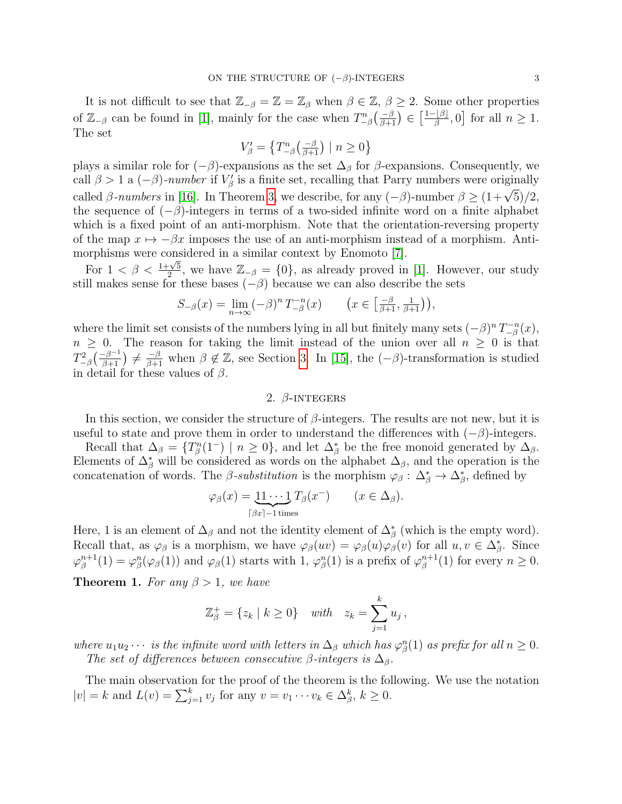It is not difficult to see that  $\mathbb{Z}_{-\beta} = \mathbb{Z} = \mathbb{Z}_{\beta}$  when  $\beta \in \mathbb{Z}, \beta \geq 2$ . Some other properties of  $\mathbb{Z}_{-\beta}$  can be found in [\[1\]](#page-14-0), mainly for the case when  $T_{-\beta}^n(\frac{-\beta}{\beta+1}) \in \left[\frac{1-|\beta|}{\beta}\right]$  $\frac{f[\beta]}{\beta}, 0$  for all  $n \geq 1$ . The set

$$
V'_{\beta} = \left\{ T^{n}_{-\beta} \left( \frac{-\beta}{\beta + 1} \right) \mid n \ge 0 \right\}
$$

plays a similar role for  $(-\beta)$ -expansions as the set  $\Delta_{\beta}$  for  $\beta$ -expansions. Consequently, we call  $\beta > 1$  a  $(-\beta)$ -number if  $V'_\beta$  is a finite set, recalling that Parry numbers were originally called β-numbers in [\[16\]](#page-14-13). In Theorem [3,](#page-8-0) we describe, for any  $(-\beta)$ -number  $\beta \ge (1+\sqrt{5})/2$ , the sequence of  $(-\beta)$ -integers in terms of a two-sided infinite word on a finite alphabet which is a fixed point of an anti-morphism. Note that the orientation-reversing property of the map  $x \mapsto -\beta x$  imposes the use of an anti-morphism instead of a morphism. Antimorphisms were considered in a similar context by Enomoto [\[7\]](#page-14-14).

For  $1 < \beta < \frac{1+\sqrt{5}}{2}$  $\frac{2\sqrt{5}}{2}$ , we have  $\mathbb{Z}_{-\beta} = \{0\}$ , as already proved in [\[1\]](#page-14-0). However, our study still makes sense for these bases  $(-\beta)$  because we can also describe the sets

$$
S_{-\beta}(x) = \lim_{n \to \infty} (-\beta)^n T_{-\beta}^{-n}(x) \qquad \left(x \in \left[\frac{-\beta}{\beta+1}, \frac{1}{\beta+1}\right)\right),
$$

where the limit set consists of the numbers lying in all but finitely many sets  $(-\beta)^n T_{-\beta}^{-n}$  $\binom{n-n}{-\beta}(x),$  $n \geq 0$ . The reason for taking the limit instead of the union over all  $n \geq 0$  is that  $T_{-\beta}^2\left(\frac{\beta^{-1}}{\beta+1}\right) \neq \frac{-\beta}{\beta+1}$  when  $\beta \notin \mathbb{Z}$ , see Section [3.](#page-4-0) In [\[15\]](#page-14-15), the  $(-\beta)$ -transformation is studied in detail for these values of  $\beta$ .

## 2.  $\beta$ -INTEGERS

<span id="page-2-0"></span>In this section, we consider the structure of  $\beta$ -integers. The results are not new, but it is useful to state and prove them in order to understand the differences with  $(-\beta)$ -integers.

Recall that  $\Delta_{\beta} = \{T_{\beta}^{n}(1^{-}) \mid n \geq 0\}$ , and let  $\Delta_{\beta}^{*}$  be the free monoid generated by  $\Delta_{\beta}$ . Elements of  $\Delta^*_{\beta}$  will be considered as words on the alphabet  $\Delta_{\beta}$ , and the operation is the concatenation of words. The  $\beta$ -substitution is the morphism  $\varphi_{\beta}: \Delta_{\beta}^* \to \Delta_{\beta}^*$ , defined by

$$
\varphi_{\beta}(x) = \underbrace{11 \cdots 1}_{[\beta x] - 1 \text{ times}} T_{\beta}(x^{-}) \qquad (x \in \Delta_{\beta}).
$$

<span id="page-2-1"></span>Here, 1 is an element of  $\Delta_{\beta}$  and not the identity element of  $\Delta_{\beta}^*$  (which is the empty word). Recall that, as  $\varphi_{\beta}$  is a morphism, we have  $\varphi_{\beta}(uv) = \varphi_{\beta}(u)\varphi_{\beta}(v)$  for all  $u, v \in \Delta_{\beta}^*$ . Since  $\varphi_{\scriptscriptstyle B}^{n+1}$  $\beta_{\beta}^{n+1}(1) = \varphi_{\beta}^n(\varphi_{\beta}(1))$  and  $\varphi_{\beta}(1)$  starts with 1,  $\varphi_{\beta}^n(1)$  is a prefix of  $\varphi_{\beta}^{n+1}$  $_{\beta}^{n+1}(1)$  for every  $n \geq 0$ . **Theorem 1.** For any  $\beta > 1$ , we have

$$
\mathbb{Z}_{\beta}^{+} = \{z_k \mid k \ge 0\} \quad \text{with} \quad z_k = \sum_{j=1}^{k} u_j,
$$

where  $u_1u_2\cdots$  is the infinite word with letters in  $\Delta_\beta$  which has  $\varphi^n_\beta(1)$  as prefix for all  $n\geq 0$ . The set of differences between consecutive β-integers is  $\Delta_{\beta}$ .

The main observation for the proof of the theorem is the following. We use the notation  $|v| = k$  and  $L(v) = \sum_{j=1}^{k} v_j$  for any  $v = v_1 \cdots v_k \in \Delta_{\beta}^k$ ,  $k \geq 0$ .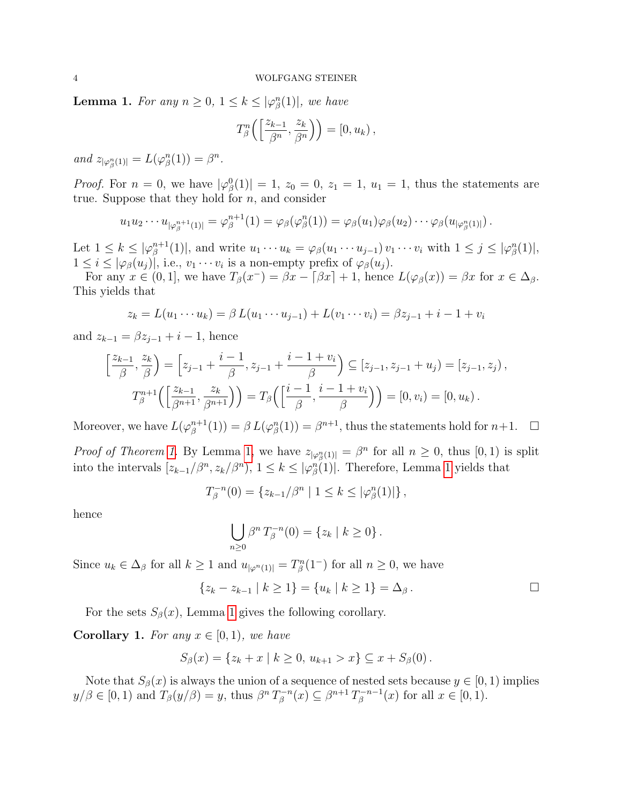<span id="page-3-0"></span>**Lemma 1.** For any  $n \geq 0, 1 \leq k \leq |\varphi_{\beta}^{n}(1)|$ , we have

$$
T_{\beta}^{n}\left(\left[\frac{z_{k-1}}{\beta^{n}},\frac{z_{k}}{\beta^{n}}\right]\right) = [0, u_{k}),
$$

and  $z_{|\varphi_{\beta}^{n}(1)|} = L(\varphi_{\beta}^{n}(1)) = \beta^{n}$ .

*Proof.* For  $n = 0$ , we have  $|\varphi_{\beta}^{0}(1)| = 1$ ,  $z_{0} = 0$ ,  $z_{1} = 1$ ,  $u_{1} = 1$ , thus the statements are true. Suppose that they hold for  $n$ , and consider

$$
u_1u_2\cdots u_{|\varphi_{\beta}^{n+1}(1)|}=\varphi_{\beta}^{n+1}(1)=\varphi_{\beta}(\varphi_{\beta}^n(1))=\varphi_{\beta}(u_1)\varphi_{\beta}(u_2)\cdots\varphi_{\beta}(u_{|\varphi_{\beta}^n(1)|}).
$$

Let  $1 \leq k \leq |\varphi_{\beta}^{n+1}|$  $\beta_{\beta}^{n+1}(1)$ , and write  $u_1 \cdots u_k = \varphi_{\beta}(u_1 \cdots u_{j-1}) v_1 \cdots v_i$  with  $1 \leq j \leq |\varphi_{\beta}^n(1)|$ ,  $1 \leq i \leq |\varphi_{\beta}(u_j)|$ , i.e.,  $v_1 \cdots v_i$  is a non-empty prefix of  $\varphi_{\beta}(u_j)$ .

For any  $x \in (0,1]$ , we have  $T_\beta(x^-) = \beta x - \lceil \beta x \rceil + 1$ , hence  $L(\varphi_\beta(x)) = \beta x$  for  $x \in \Delta_\beta$ . This yields that

$$
z_k = L(u_1 \cdots u_k) = \beta L(u_1 \cdots u_{j-1}) + L(v_1 \cdots v_i) = \beta z_{j-1} + i - 1 + v_i
$$

and  $z_{k-1} = \beta z_{i-1} + i - 1$ , hence

$$
\[\frac{z_{k-1}}{\beta}, \frac{z_k}{\beta}\] = \left[z_{j-1} + \frac{i-1}{\beta}, z_{j-1} + \frac{i-1+v_i}{\beta}\right] \subseteq [z_{j-1}, z_{j-1} + u_j) = [z_{j-1}, z_j],
$$
  

$$
T_{\beta}^{n+1}\left(\left[\frac{z_{k-1}}{\beta^{n+1}}, \frac{z_k}{\beta^{n+1}}\right]\right) = T_{\beta}\left(\left[\frac{i-1}{\beta}, \frac{i-1+v_i}{\beta}\right]\right) = [0, v_i) = [0, u_k).
$$

Moreover, we have  $L(\varphi^{n+1}_{\beta})$  $\beta_{\beta}^{n+1}(1)$  =  $\beta L(\varphi_{\beta}^{n}(1)) = \beta^{n+1}$ , thus the statements hold for  $n+1$ .  $\Box$ 

*Proof of Theorem [1.](#page-2-1)* By Lemma [1,](#page-3-0) we have  $z_{|\varphi_{\beta}^{n}(1)|} = \beta^{n}$  for all  $n \geq 0$ , thus  $[0, 1)$  is split into the intervals  $[z_{k-1}/\beta^n, z_k/\beta^n)$ ,  $1 \leq k \leq |\varphi_{\beta}^n(1)|$ . Therefore, Lemma [1](#page-3-0) yields that

$$
T_{\beta}^{-n}(0) = \{z_{k-1}/\beta^n \mid 1 \leq k \leq |\varphi_{\beta}^n(1)|\},\,
$$

hence

$$
\bigcup_{n\geq 0} \beta^n T_{\beta}^{-n}(0) = \{z_k \mid k \geq 0\}.
$$

Since  $u_k \in \Delta_\beta$  for all  $k \geq 1$  and  $u_{|\varphi^n(1)|} = T_\beta^n(1^-)$  for all  $n \geq 0$ , we have

$$
\{z_k - z_{k-1} \mid k \ge 1\} = \{u_k \mid k \ge 1\} = \Delta_\beta.
$$

For the sets  $S_\beta(x)$ , Lemma [1](#page-3-0) gives the following corollary.

**Corollary 1.** For any  $x \in [0, 1)$ , we have

$$
S_{\beta}(x) = \{z_k + x \mid k \geq 0, u_{k+1} > x\} \subseteq x + S_{\beta}(0).
$$

Note that  $S_\beta(x)$  is always the union of a sequence of nested sets because  $y \in [0,1)$  implies  $y/\beta \in [0,1)$  and  $T_{\beta}(y/\beta) = y$ , thus  $\beta^{n} T_{\beta}^{-n}$  $\beta^{n-n}(x) \subseteq \beta^{n+1} T_{\beta}^{-n-1}$  $\int_{\beta}^{n-n-1}(x)$  for all  $x \in [0,1)$ .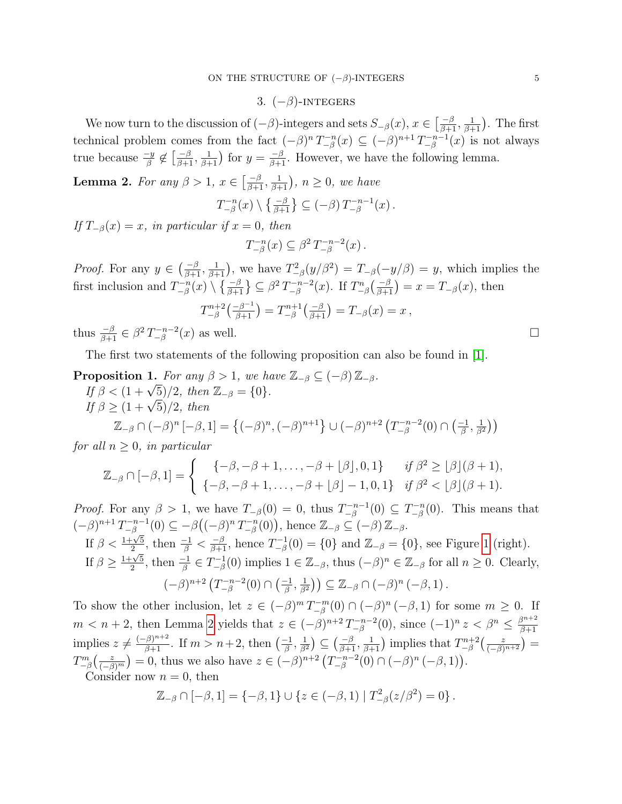## 3.  $(-\beta)$ -INTEGERS

<span id="page-4-0"></span>We now turn to the discussion of  $(-\beta)$ -integers and sets  $S_{-\beta}(x), x \in \left[\frac{-\beta}{\beta+1}, \frac{1}{\beta+1}\right)$ . The first technical problem comes from the fact  $(-\beta)^n T_{-\beta}^{-n}$  $\zeta_{-\beta}^{-n}(x) \subseteq (-\beta)^{n+1} \, T_{-\beta}^{-n-1}$  $\int_{-\beta}^{-n-1}(x)$  is not always true because  $\frac{-y}{\beta} \notin \left[\frac{-\beta}{\beta+1}, \frac{1}{\beta+1}\right)$  for  $y = \frac{-\beta}{\beta+1}$ . However, we have the following lemma.

<span id="page-4-1"></span>**Lemma 2.** For any  $\beta > 1$ ,  $x \in \left[\frac{-\beta}{\beta+1}, \frac{1}{\beta+1}\right)$ ,  $n \geq 0$ , we have

$$
T_{-\beta}^{-n}(x)\setminus \left\{\tfrac{-\beta}{\beta+1}\right\} \subseteq (-\beta) T_{-\beta}^{-n-1}(x).
$$

If  $T_{-\beta}(x) = x$ , in particular if  $x = 0$ , then

$$
T_{-\beta}^{-n}(x) \subseteq \beta^2 T_{-\beta}^{-n-2}(x) .
$$

*Proof.* For any  $y \in \left(\frac{-\beta}{\beta+1}, \frac{1}{\beta+1}\right)$ , we have  $T_{-\beta}^2(y/\beta^2) = T_{-\beta}(-y/\beta) = y$ , which implies the first inclusion and  $T_{-8}^{-n}$  $\binom{n-n}{-\beta}(x) \setminus \left\{\frac{-\beta}{\beta+1}\right\} \subseteq \beta^2 T_{-\beta}^{-n-2}$ <sup> $n-n-2$ </sup>(*x*). If  $T_{-\beta}^n\left(\frac{-\beta}{\beta+1}\right) = x = T_{-\beta}(x)$ , then  $T_{-\beta}^{n+2}$  $\binom{m+2}{-\beta} \binom{-\beta^{-1}}{\beta+1} = T^{n+1}_{-\beta}$  $T_{-\beta}^{n+1}(\frac{-\beta}{\beta+1}) = T_{-\beta}(x) = x,$ 

thus  $\frac{-\beta}{\beta+1} \in \beta^2 T_{-\beta}^{-n-2}$  $\Box^{-n-2}_{-\beta}(x)$  as well.

The first two statements of the following proposition can also be found in [\[1\]](#page-14-0).

<span id="page-4-2"></span>**Proposition 1.** For any  $\beta > 1$ , we have  $\mathbb{Z}_{-\beta} \subseteq (-\beta) \mathbb{Z}_{-\beta}$ .<br>If  $\beta < (1 + \sqrt{5})/2$ , then  $\mathbb{Z}_{-\beta} = \{0\}$ .

If 
$$
\beta < (1 + \sqrt{5})/2
$$
, then  $\mathbb{Z}_{-\beta} = \{0\}$ .  
\nIf  $\beta \ge (1 + \sqrt{5})/2$ , then  
\n $\mathbb{Z}_{-\beta} \cap (-\beta)^n [-\beta, 1] = \{(-\beta)^n, (-\beta)^{n+1}\} \cup (-\beta)^{n+2} (T_{-\beta}^{-n-2}(0) \cap (\frac{-1}{\beta}, \frac{1}{\beta^2}))$ 

for all  $n \geq 0$ , in particular

$$
\mathbb{Z}_{-\beta} \cap [-\beta, 1] = \begin{cases} \left\{ -\beta, -\beta + 1, \dots, -\beta + \lfloor \beta \rfloor, 0, 1 \right\} & \text{if } \beta^2 \ge \lfloor \beta \rfloor (\beta + 1), \\ \left\{ -\beta, -\beta + 1, \dots, -\beta + \lfloor \beta \rfloor - 1, 0, 1 \right\} & \text{if } \beta^2 < \lfloor \beta \rfloor (\beta + 1). \end{cases}
$$

*Proof.* For any  $\beta > 1$ , we have  $T_{-\beta}(0) = 0$ , thus  $T_{-\beta}^{-n-1}$  $T^{-n-1}_{-\beta}(0) \subseteq T^{-n}_{-\beta}$  $_{-\beta}^{n-n}(0)$ . This means that  $(-\beta)^{n+1}T_{-\beta}^{-n-1}$  $\frac{(-n-1)}{-\beta}(0) \subseteq -\beta\big((-\beta)^n T_{-\beta}^{-n}$  $\mathbb{Z}_{-\beta}^{n-n}(0)$ , hence  $\mathbb{Z}_{-\beta} \subseteq (-\beta) \mathbb{Z}_{-\beta}$ .

If 
$$
\beta < \frac{1+\sqrt{5}}{2}
$$
, then  $\frac{-1}{\beta} < \frac{-\beta}{\beta+1}$ , hence  $T_{-\beta}^{-1}(0) = \{0\}$  and  $\mathbb{Z}_{-\beta} = \{0\}$ , see Figure 1 (right).  
\nIf  $\beta \ge \frac{1+\sqrt{5}}{2}$ , then  $\frac{-1}{\beta} \in T_{-\beta}^{-1}(0)$  implies  $1 \in \mathbb{Z}_{-\beta}$ , thus  $(-\beta)^n \in \mathbb{Z}_{-\beta}$  for all  $n \ge 0$ . Clearly,  
\n $(-\beta)^{n+2} (T_{-\beta}^{-n-2}(0) \cap (\frac{-1}{\beta}, \frac{1}{\beta^2})) \subseteq \mathbb{Z}_{-\beta} \cap (-\beta)^n (-\beta, 1)$ .

To show the other inclusion, let  $z \in (-\beta)^m T_{-\beta}^{-m}$  $\sum_{-\beta}^{n-m}(0) \cap (-\beta)^n(-\beta,1)$  for some  $m \geq 0$ . If  $m < n+2$ , then Lemma [2](#page-4-1) yields that  $z \in (-\beta)^{n+2} T_{-\beta}^{-n-2}$  $\int_{-\beta}^{n-n-2}(0)$ , since  $(-1)^n z < \beta^n \leq \frac{\beta^{n+2}}{\beta+1}$  $\beta+1$ implies  $z \neq \frac{(-\beta)^{n+2}}{\beta+1}$ . If  $m > n+2$ , then  $\left(\frac{-1}{\beta}\right)$  $\frac{-1}{\beta}, \frac{1}{\beta^2}$  $\left(\frac{1}{\beta+1}, \frac{1}{\beta+1}\right)$  implies that  $T^{n+2}_{-\beta}$  $\frac{m+2}{-\beta}\left(\frac{z}{(-\beta)^{n+2}}\right)=$  $T_{-\beta}^{m}\left(\frac{z}{(-\beta\right) }$  $\frac{z}{(-\beta)^m}$  = 0, thus we also have  $z \in (-\beta)^{n+2}$   $(T_{-\beta}^{-n-2})$  $_{-\beta}^{n-n-2}(0) \cap (-\beta)^n (-\beta, 1)).$ 

Consider now  $n = 0$ , then

$$
\mathbb{Z}_{-\beta} \cap [-\beta, 1] = \{-\beta, 1\} \cup \{z \in (-\beta, 1) \mid T_{-\beta}^2(z/\beta^2) = 0\}.
$$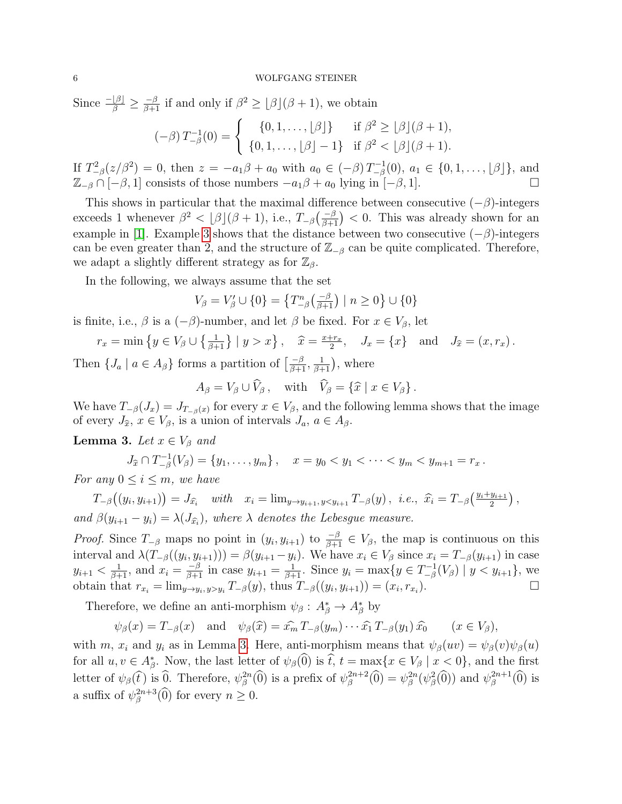#### 6 WOLFGANG STEINER

Since  $\frac{-\beta}{\beta} \geq \frac{-\beta}{\beta+1}$  if and only if  $\beta^2 \geq \lfloor \beta \rfloor (\beta+1)$ , we obtain

$$
(-\beta) T_{-\beta}^{-1}(0) = \begin{cases} \{0, 1, \dots, \lfloor \beta \rfloor\} & \text{if } \beta^2 \ge \lfloor \beta \rfloor (\beta + 1), \\ \{0, 1, \dots, \lfloor \beta \rfloor - 1\} & \text{if } \beta^2 < \lfloor \beta \rfloor (\beta + 1). \end{cases}
$$

If  $T_{-\beta}^2(z/\beta^2) = 0$ , then  $z = -a_1\beta + a_0$  with  $a_0 \in (-\beta)T_{-\beta}^{-1}$  $\binom{n-1}{-\beta}(0), a_1 \in \{0, 1, \ldots, \lfloor \beta \rfloor\}, \text{ and }$  $\mathbb{Z}_{-\beta} \cap [-\beta, 1]$  consists of those numbers  $-a_1\beta + a_0$  lying in  $[-\beta, 1]$ .

This shows in particular that the maximal difference between consecutive  $(-\beta)$ -integers exceeds 1 whenever  $\beta^2 < \lfloor \beta \rfloor (\beta + 1)$ , i.e.,  $T_{-\beta}(\frac{-\beta}{\beta+1}) < 0$ . This was already shown for an example in [\[1\]](#page-14-0). Example [3](#page-12-1) shows that the distance between two consecutive  $(-\beta)$ -integers can be even greater than 2, and the structure of  $\mathbb{Z}_{-\beta}$  can be quite complicated. Therefore, we adapt a slightly different strategy as for  $\mathbb{Z}_{\beta}$ .

In the following, we always assume that the set

$$
V_{\beta} = V_{\beta}' \cup \{0\} = \left\{ T_{-\beta}^{n} \left( \frac{-\beta}{\beta + 1} \right) \mid n \ge 0 \right\} \cup \{0\}
$$

is finite, i.e.,  $\beta$  is a  $(-\beta)$ -number, and let  $\beta$  be fixed. For  $x \in V_\beta$ , let

$$
r_x = \min \left\{ y \in V_\beta \cup \left\{ \frac{1}{\beta+1} \right\} \mid y > x \right\}, \quad \hat{x} = \frac{x+r_x}{2}, \quad J_x = \left\{ x \right\} \text{ and } J_{\hat{x}} = (x, r_x).
$$

Then  $\{J_a \mid a \in A_\beta\}$  forms a partition of  $\left[\frac{-\beta}{\beta+1}, \frac{1}{\beta+1}\right)$ , where

$$
A_{\beta} = V_{\beta} \cup \widehat{V}_{\beta}, \quad \text{with} \quad \widehat{V}_{\beta} = \{\widehat{x} \mid x \in V_{\beta}\}.
$$

We have  $T_{-\beta}(J_x) = J_{T_{-\beta}(x)}$  for every  $x \in V_\beta$ , and the following lemma shows that the image of every  $J_{\hat{x}}, x \in V_{\beta}$ , is a union of intervals  $J_a, a \in A_{\beta}$ .

<span id="page-5-0"></span>**Lemma 3.** Let  $x \in V_\beta$  and

$$
J_{\widehat{x}} \cap T_{-\beta}^{-1}(V_{\beta}) = \{y_1, \dots, y_m\}, \quad x = y_0 < y_1 < \dots < y_m < y_{m+1} = r_x.
$$

For any  $0 \leq i \leq m$ , we have

$$
T_{-\beta}((y_i, y_{i+1})) = J_{\hat{x}_i} \quad \text{with} \quad x_i = \lim_{y \to y_{i+1}, y < y_{i+1}} T_{-\beta}(y), \text{ i.e., } \hat{x}_i = T_{-\beta} \left( \frac{y_i + y_{i+1}}{2} \right),
$$
\n
$$
\text{and } \beta(y_{i+1} - y_i) = \lambda(J_{\hat{x}_i}), \text{ where } \lambda \text{ denotes the Lebesgue measure.}
$$

*Proof.* Since  $T_{-\beta}$  maps no point in  $(y_i, y_{i+1})$  to  $\frac{-\beta}{\beta+1} \in V_\beta$ , the map is continuous on this interval and  $\lambda(T_{-\beta}(y_i, y_{i+1}))) = \beta(y_{i+1} - y_i)$ . We have  $x_i \in V_\beta$  since  $x_i = T_{-\beta}(y_{i+1})$  in case  $y_{i+1} < \frac{1}{\beta+1}$ , and  $x_i = \frac{-\beta}{\beta+1}$  in case  $y_{i+1} = \frac{1}{\beta+1}$ . Since  $y_i = \max\{y \in T^{-1}_{-\beta}\}$  $\binom{n-1}{-\beta}(V_{\beta}) \mid y < y_{i+1} \},$  we obtain that  $r_{x_i} = \lim_{y \to y_i, y > y_i} T_{-\beta}(y)$ , thus  $T_{-\beta}((y_i, y_{i+1})) = (x_i, r_{x_i})$ ).  $\Box$ 

Therefore, we define an anti-morphism  $\psi_{\beta}: A_{\beta}^* \to A_{\beta}^*$  by

$$
\psi_{\beta}(x) = T_{-\beta}(x)
$$
 and  $\psi_{\beta}(\widehat{x}) = \widehat{x_m} T_{-\beta}(y_m) \cdots \widehat{x_1} T_{-\beta}(y_1) \widehat{x_0}$   $(x \in V_{\beta}),$ 

with m,  $x_i$  and  $y_i$  as in Lemma [3.](#page-5-0) Here, anti-morphism means that  $\psi_\beta(uv) = \psi_\beta(v)\psi_\beta(u)$ for all  $u, v \in A_{\beta}^*$ . Now, the last letter of  $\psi_{\beta}(0)$  is  $\hat{t}, t = \max\{x \in V_{\beta} \mid x < 0\}$ , and the first letter of  $\psi_{\beta}(\hat{t})$  is  $\widehat{0}$ . Therefore,  $\psi_{\beta}^{2n}(\widehat{0})$  is a prefix of  $\psi_{\beta}^{2n+2}$  $\psi_{\beta}^{2n+2}(\widehat{0}) = \psi_{\beta}^{2n}(\psi_{\beta}^{2}(\widehat{0}))$  and  $\psi_{\beta}^{2n+1}$  $\beta^{2n+1}(0)$  is a suffix of  $\psi_{\beta}^{2n+3}$  $_{\beta}^{2n+3}(0)$  for every  $n \geq 0$ .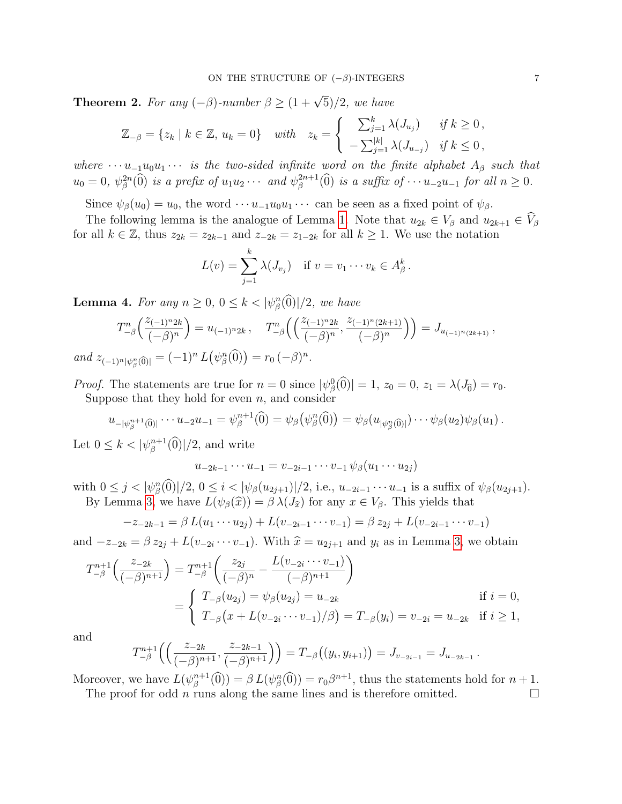<span id="page-6-0"></span>**Theorem 2.** For any  $(-\beta)$ -number  $\beta \geq (1 + \sqrt{5})/2$ , we have

$$
\mathbb{Z}_{-\beta} = \{z_k \mid k \in \mathbb{Z}, u_k = 0\} \quad \text{with} \quad z_k = \begin{cases} \sum_{j=1}^k \lambda(J_{u_j}) & \text{if } k \ge 0, \\ -\sum_{j=1}^{|k|} \lambda(J_{u_{-j}}) & \text{if } k \le 0, \end{cases}
$$

where  $\cdots u_{-1}u_0u_1\cdots$  is the two-sided infinite word on the finite alphabet  $A_\beta$  such that  $u_0 = 0, \ \psi_{\beta}^{2n}(\widehat{0})$  is a prefix of  $u_1u_2\cdots$  and  $\psi_{\beta}^{2n+1}$  $\beta^{2n+1}(0)$  is a suffix of  $\cdots u_{-2}u_{-1}$  for all  $n \geq 0$ .

Since  $\psi_{\beta}(u_0) = u_0$ , the word  $\cdots u_{-1}u_0u_1\cdots$  can be seen as a fixed point of  $\psi_{\beta}$ .

The following lemma is the analogue of Lemma [1.](#page-3-0) Note that  $u_{2k} \in V_\beta$  and  $u_{2k+1} \in \widehat{V}_\beta$ for all  $k \in \mathbb{Z}$ , thus  $z_{2k} = z_{2k-1}$  and  $z_{2k} = z_{1-2k}$  for all  $k \geq 1$ . We use the notation

$$
L(v) = \sum_{j=1}^{k} \lambda(J_{v_j}) \quad \text{if } v = v_1 \cdots v_k \in A_{\beta}^k.
$$

<span id="page-6-1"></span>**Lemma 4.** For any  $n \geq 0$ ,  $0 \leq k < |\psi_{\beta}^n(0)|/2$ , we have

$$
T_{-\beta}^n\left(\frac{z_{(-1)^n2k}}{(-\beta)^n}\right) = u_{(-1)^n2k}, \quad T_{-\beta}^n\left(\left(\frac{z_{(-1)^n2k}}{(-\beta)^n}, \frac{z_{(-1)^n(2k+1)}}{(-\beta)^n}\right)\right) = J_{u_{(-1)^n(2k+1)}},
$$
  
and  $z_{(-1)^n|\psi_{\beta}^n(0)|} = (-1)^n L(\psi_{\beta}^n(0)) = r_0 (-\beta)^n.$ 

*Proof.* The statements are true for  $n = 0$  since  $|\psi_{\beta}^{0}(0)| = 1$ ,  $z_{0} = 0$ ,  $z_{1} = \lambda(J_{\widehat{0}}) = r_{0}$ . Suppose that they hold for even  $n$ , and consider

$$
u_{-|\psi_{\beta}^{n+1}(\widehat{0})|}\cdots u_{-2}u_{-1}=\psi_{\beta}^{n+1}(\widehat{0})=\psi_{\beta}(\psi_{\beta}^{n}(\widehat{0}))=\psi_{\beta}(u_{|\psi_{\beta}^{n}(\widehat{0})|})\cdots\psi_{\beta}(u_{2})\psi_{\beta}(u_{1}).
$$

Let  $0 \leq k < |\psi_{\beta}^{n+1}|$  $_{\beta}^{n+1}(0)/2$ , and write

$$
u_{-2k-1}\cdots u_{-1}=v_{-2i-1}\cdots v_{-1}\,\psi_{\beta}(u_1\cdots u_{2j})
$$

with  $0 \le j < |\psi_{\beta}^n(0)|/2, 0 \le i < |\psi_{\beta}(u_{2j+1})|/2$ , i.e.,  $u_{-2i-1} \cdots u_{-1}$  is a suffix of  $\psi_{\beta}(u_{2j+1})$ . By Lemma [3,](#page-5-0) we have  $L(\psi_{\beta}(\hat{x})) = \beta \lambda(J_{\hat{x}})$  for any  $x \in V_{\beta}$ . This yields that

$$
-z_{-2k-1} = \beta L(u_1 \cdots u_{2j}) + L(v_{-2i-1} \cdots v_{-1}) = \beta z_{2j} + L(v_{-2i-1} \cdots v_{-1})
$$

and  $-z_{-2k} = \beta z_{2j} + L(v_{-2i} \cdots v_{-1})$ . With  $\hat{x} = u_{2j+1}$  and  $y_i$  as in Lemma [3,](#page-5-0) we obtain

$$
T_{-\beta}^{n+1}\left(\frac{z_{-2k}}{(-\beta)^{n+1}}\right) = T_{-\beta}^{n+1}\left(\frac{z_{2j}}{(-\beta)^n} - \frac{L(v_{-2i} \cdots v_{-1})}{(-\beta)^{n+1}}\right)
$$
  
= 
$$
\begin{cases} T_{-\beta}(u_{2j}) = \psi_{\beta}(u_{2j}) = u_{-2k} \\ T_{-\beta}(x + L(v_{-2i} \cdots v_{-1})/\beta) = T_{-\beta}(y_i) = v_{-2i} = u_{-2k} \quad \text{if } i \ge 1, \end{cases}
$$

and

$$
T_{-\beta}^{n+1}\left(\left(\frac{z_{-2k}}{(-\beta)^{n+1}}, \frac{z_{-2k-1}}{(-\beta)^{n+1}}\right)\right) = T_{-\beta}\left((y_i, y_{i+1})\right) = J_{v_{-2i-1}} = J_{u_{-2k-1}}.
$$

Moreover, we have  $L(\psi_{\beta}^{n+1})$  $\beta^{n+1}(\widehat{0}) = \beta L(\psi_{\beta}^{n}(\widehat{0})) = r_0\beta^{n+1}$ , thus the statements hold for  $n+1$ . The proof for odd *n* runs along the same lines and is therefore omitted.  $\square$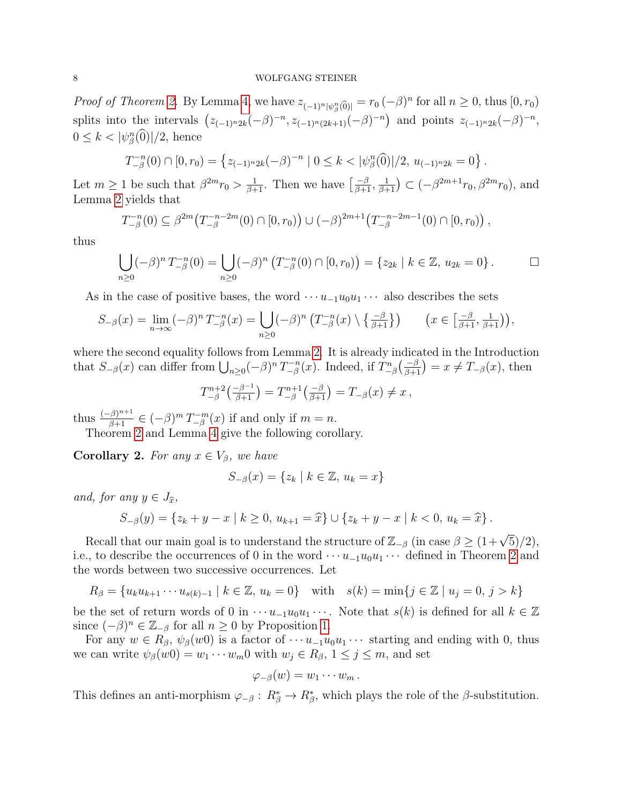#### 8 WOLFGANG STEINER

*Proof of Theorem [2.](#page-6-0)* By Lemma [4,](#page-6-1) we have  $z_{(-1)^n|\psi_{\beta}^n(0)|} = r_0 (-\beta)^n$  for all  $n \ge 0$ , thus  $[0, r_0)$ splits into the intervals  $(z_{(-1)^n2k}(-\beta)^{-n}, z_{(-1)^n(2k+1)}(-\beta)^{-n})$  and points  $z_{(-1)^n2k}(-\beta)^{-n}$ ,  $0 \leq k < |\psi_{\beta}^{n}(\widehat{0})|/2$ , hence

$$
T_{-\beta}^{-n}(0) \cap [0, r_0) = \left\{ z_{(-1)^n 2k}(-\beta)^{-n} \mid 0 \le k < |\psi_{\beta}^n(\widehat{0})|/2, u_{(-1)^n 2k} = 0 \right\}.
$$

Let  $m \ge 1$  be such that  $\beta^{2m} r_0 > \frac{1}{\beta+1}$ . Then we have  $\left[\frac{-\beta}{\beta+1}, \frac{1}{\beta+1}\right) \subset (-\beta^{2m+1} r_0, \beta^{2m} r_0)$ , and Lemma [2](#page-4-1) yields that

$$
T_{-\beta}^{-n}(0) \subseteq \beta^{2m}(T_{-\beta}^{-n-2m}(0) \cap [0,r_0)) \cup (-\beta)^{2m+1}(T_{-\beta}^{-n-2m-1}(0) \cap [0,r_0)),
$$

thus

$$
\bigcup_{n\geq 0} (-\beta)^n T_{-\beta}^{-n}(0) = \bigcup_{n\geq 0} (-\beta)^n \left( T_{-\beta}^{-n}(0) \cap [0, r_0) \right) = \{ z_{2k} \mid k \in \mathbb{Z}, u_{2k} = 0 \} . \square
$$

As in the case of positive bases, the word  $\cdots u_{-1}u_0u_1\cdots$  also describes the sets

$$
S_{-\beta}(x) = \lim_{n \to \infty} (-\beta)^n T_{-\beta}^{-n}(x) = \bigcup_{n \ge 0} (-\beta)^n \left( T_{-\beta}^{-n}(x) \setminus \left\{ \frac{-\beta}{\beta + 1} \right\} \right) \qquad \left( x \in \left[ \frac{-\beta}{\beta + 1}, \frac{1}{\beta + 1} \right) \right),
$$

where the second equality follows from Lemma [2.](#page-4-1) It is already indicated in the Introduction that  $S_{-\beta}(x)$  can differ from  $\bigcup_{n\geq 0} (-\beta)^n T_{-\beta}^{-n}$ <sup> $n-n$ </sup>(*x*). Indeed, if  $T_{-\beta}^n\left(\frac{-\beta}{\beta+1}\right) = x \neq T_{-\beta}(x)$ , then

$$
T_{-\beta}^{n+2} \left( \frac{-\beta^{-1}}{\beta + 1} \right) = T_{-\beta}^{n+1} \left( \frac{-\beta}{\beta + 1} \right) = T_{-\beta}(x) \neq x,
$$

thus  $\frac{(-\beta)^{n+1}}{\beta+1} \in (-\beta)^m T^{-m}_{-\beta}$  $\binom{n-m}{-\beta}(x)$  if and only if  $m = n$ .

Theorem [2](#page-6-0) and Lemma [4](#page-6-1) give the following corollary.

**Corollary 2.** For any  $x \in V_\beta$ , we have

$$
S_{-\beta}(x) = \{z_k \mid k \in \mathbb{Z}, u_k = x\}
$$

and, for any  $y \in J_{\hat{x}}$ ,

$$
S_{-\beta}(y) = \{z_k + y - x \mid k \ge 0, u_{k+1} = \widehat{x}\} \cup \{z_k + y - x \mid k < 0, u_k = \widehat{x}\}.
$$

Recall that our main goal is to understand the structure of  $\mathbb{Z}_{-\beta}$  (in case  $\beta \geq (1+\sqrt{5})/2$ ), i.e., to describe the occurrences of 0 in the word  $\cdots u_{-1}u_0u_1\cdots$  defined in Theorem [2](#page-6-0) and the words between two successive occurrences. Let

$$
R_{\beta} = \{u_k u_{k+1} \cdots u_{s(k)-1} \mid k \in \mathbb{Z}, u_k = 0\} \quad \text{with} \quad s(k) = \min\{j \in \mathbb{Z} \mid u_j = 0, j > k\}
$$

be the set of return words of 0 in  $\cdots u_{-1}u_0u_1\cdots$ . Note that  $s(k)$  is defined for all  $k\in\mathbb{Z}$ since  $(-\beta)^n \in \mathbb{Z}_{-\beta}$  for all  $n \geq 0$  by Proposition [1.](#page-4-2)

For any  $w \in R_{\beta}, \psi_{\beta}(w_0)$  is a factor of  $\cdots u_{-1}u_0u_1\cdots$  starting and ending with 0, thus we can write  $\psi_{\beta}(w0) = w_1 \cdots w_m 0$  with  $w_j \in R_{\beta}, 1 \leq j \leq m$ , and set

$$
\varphi_{-\beta}(w)=w_1\cdots w_m.
$$

This defines an anti-morphism  $\varphi_{-\beta}: R^*_{\beta} \to R^*_{\beta}$ , which plays the role of the  $\beta$ -substitution.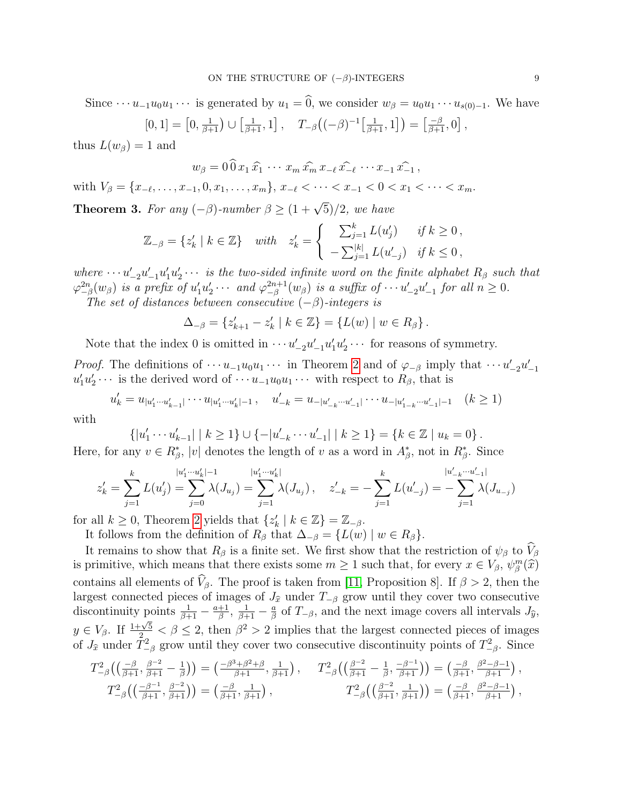Since  $\cdots u_{-1}u_0u_1\cdots$  is generated by  $u_1 = \widehat{0}$ , we consider  $w_\beta = u_0u_1\cdots u_{s(0)-1}$ . We have ,

$$
[0,1] = [0, \frac{1}{\beta+1}) \cup [\frac{1}{\beta+1}, 1], \quad T_{-\beta} \big( (-\beta)^{-1} [\frac{1}{\beta+1}, 1] \big) = [\frac{-\beta}{\beta+1}, 0]
$$

thus  $L(w_\beta) = 1$  and

$$
w_{\beta}=0\,\widehat{0}\,x_1\,\widehat{x_1}\,\cdots\,x_m\,\widehat{x_m}\,x_{-\ell}\,\widehat{x_{-\ell}}\,\cdots x_{-1}\,\widehat{x_{-1}}\,,
$$

with  $V_{\beta} = \{x_{-\ell}, \ldots, x_{-1}, 0, x_1, \ldots, x_m\}, x_{-\ell} < \cdots < x_{-1} < 0 < x_1 < \cdots < x_m.$ 

<span id="page-8-0"></span>**Theorem 3.** For any  $(-\beta)$ -number  $\beta \geq (1 + \sqrt{5})/2$ , we have

$$
\mathbb{Z}_{-\beta} = \{ z'_k \mid k \in \mathbb{Z} \} \quad \text{with} \quad z'_k = \begin{cases} \sum_{j=1}^k L(u'_j) & \text{if } k \ge 0 \,, \\ -\sum_{j=1}^{|k|} L(u'_{-j}) & \text{if } k \le 0 \,, \end{cases}
$$

where  $\cdots u'_{-2}u'_{-1}u'_{1}u'_{2}\cdots$  is the two-sided infinite word on the finite alphabet  $R_{\beta}$  such that  $\varphi_{-\beta}^{2n}(w_{\beta})$  is a prefix of  $u_1'u_2' \cdots$  and  $\varphi_{-\beta}^{2n+1}$  $_{-\beta}^{2n+1}(w_{\beta})$  is a suffix of  $\cdots u'_{-2}u'_{-1}$  for all  $n \geq 0$ .

The set of distances between consecutive  $(-\beta)$ -integers is

$$
\Delta_{-\beta} = \{ z'_{k+1} - z'_k \mid k \in \mathbb{Z} \} = \{ L(w) \mid w \in R_{\beta} \}.
$$

Note that the index 0 is omitted in  $\cdots u'_{-2}u'_{-1}u'_1u'_2\cdots$  for reasons of symmetry.

*Proof.* The definitions of  $\cdots u_{-1}u_0u_1\cdots$  in Theorem [2](#page-6-0) and of  $\varphi_{-\beta}$  imply that  $\cdots u'_{-2}u'_{-1}$  $u'_1u'_2\cdots$  is the derived word of  $\cdots u_{-1}u_0u_1\cdots$  with respect to  $R_\beta$ , that is

$$
u'_{k} = u_{|u'_{1} \cdots u'_{k-1}|} \cdots u_{|u'_{1} \cdots u'_{k}|-1}, \quad u'_{-k} = u_{-|u'_{-k} \cdots u'_{-1}|} \cdots u_{-|u'_{1-k} \cdots u'_{-1}|-1} \quad (k \ge 1)
$$

with

$$
\{|u'_1 \cdots u'_{k-1}| \mid k \ge 1\} \cup \{-|u'_{-k} \cdots u'_{-1}| \mid k \ge 1\} = \{k \in \mathbb{Z} \mid u_k = 0\}.
$$

Here, for any  $v \in R^*_{\beta}$ , |v| denotes the length of v as a word in  $A^*_{\beta}$ , not in  $R^*_{\beta}$ . Since

$$
z'_{k} = \sum_{j=1}^{k} L(u'_{j}) = \sum_{j=0}^{|u'_{1} \cdots u'_{k}| - 1} \lambda(J_{u_{j}}) = \sum_{j=1}^{|u'_{1} \cdots u'_{k}|} \lambda(J_{u_{j}}), \quad z'_{-k} = -\sum_{j=1}^{k} L(u'_{-j}) = -\sum_{j=1}^{|u'_{-k} \cdots u'_{-1}|} \lambda(J_{u_{-j}})
$$

for all  $k \geq 0$ , Theorem [2](#page-6-0) yields that  $\{z'_{k} \mid k \in \mathbb{Z}\} = \mathbb{Z}_{-\beta}$ .

It follows from the definition of  $R_\beta$  that  $\Delta_{-\beta} = \{L(w) \mid w \in R_\beta\}.$ 

It remains to show that  $R_\beta$  is a finite set. We first show that the restriction of  $\psi_\beta$  to  $\hat{V}_\beta$ is primitive, which means that there exists some  $m \ge 1$  such that, for every  $x \in V_\beta$ ,  $\psi_\beta^m(\hat{x})$ contains all elements of  $V_\beta$ . The proof is taken from [\[11,](#page-14-16) Proposition 8]. If  $\beta > 2$ , then the largest connected pieces of images of  $J_{\hat{x}}$  under  $T_{-\beta}$  grow until they cover two consecutive discontinuity points  $\frac{1}{\beta+1} - \frac{a+1}{\beta}$ ,  $\frac{1}{\beta+1} - \frac{a}{\beta}$  of  $T_{-\beta}$ , and the next image covers all intervals  $J$  $\frac{+1}{\beta}$ ,  $\frac{1}{\beta+1} - \frac{a}{\beta}$  $\frac{a}{\beta}$  of  $T_{-\beta}$ , and the next image covers all intervals  $J_{\hat{y}}$ ,  $y \in V_\beta$ . If  $\frac{1+\sqrt{5}}{2} < \beta \leq 2$ , then  $\beta^2 > 2$  implies that the largest connected pieces of images of  $J_{\hat{x}}$  under  $\bar{T}_{-\beta}^2$  grow until they cover two consecutive discontinuity points of  $T_{-\beta}^2$ . Since

$$
T_{-\beta}^{2}\left(\left(\frac{-\beta}{\beta+1}, \frac{\beta-2}{\beta+1} - \frac{1}{\beta}\right)\right) = \left(\frac{-\beta^{3}+\beta^{2}+\beta}{\beta+1}, \frac{1}{\beta+1}\right), \qquad T_{-\beta}^{2}\left(\left(\frac{\beta-2}{\beta+1} - \frac{1}{\beta}, \frac{-\beta-1}{\beta+1}\right)\right) = \left(\frac{-\beta}{\beta+1}, \frac{\beta^{2}-\beta-1}{\beta+1}\right),
$$
  

$$
T_{-\beta}^{2}\left(\left(\frac{-\beta-1}{\beta+1}, \frac{\beta-2}{\beta+1}\right)\right) = \left(\frac{-\beta}{\beta+1}, \frac{1}{\beta+1}\right), \qquad T_{-\beta}^{2}\left(\left(\frac{\beta-2}{\beta+1}, \frac{1}{\beta+1}\right)\right) = \left(\frac{-\beta}{\beta+1}, \frac{\beta^{2}-\beta-1}{\beta+1}\right),
$$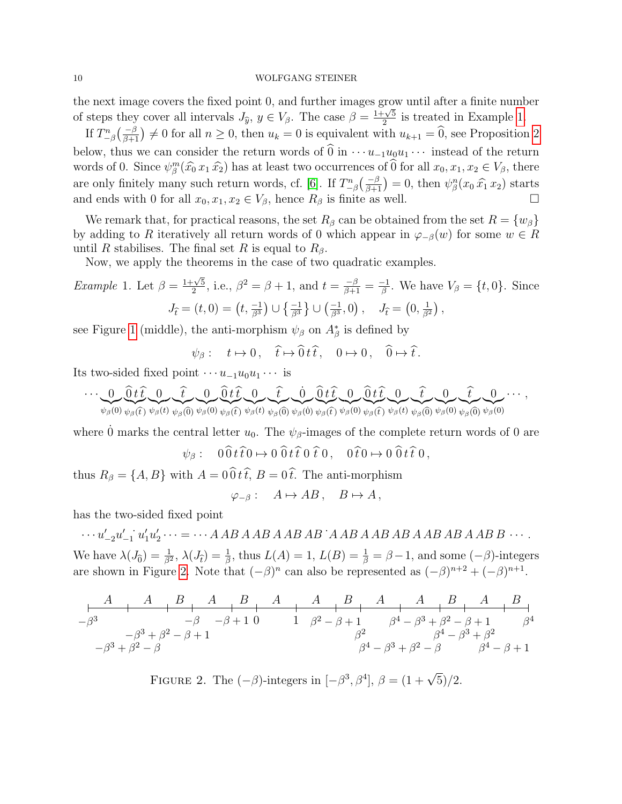#### 10 WOLFGANG STEINER

the next image covers the fixed point 0, and further images grow until after a finite number of steps they cover all intervals  $J_{\hat{y}}, y \in V_{\beta}$ . The case  $\beta =$  $\frac{1+\sqrt{5}}{1+\sqrt{5}}$  $\frac{-\sqrt{5}}{2}$  is treated in Example [1.](#page-9-0)

If  $T_{-\beta}^n\left(\frac{-\beta}{\beta+1}\right) \neq 0$  for all  $n \geq 0$ , then  $u_k = 0$  is equivalent with  $u_{k+1} = \widehat{0}$ , see Proposition [2](#page-10-0) below, thus we can consider the return words of  $\widehat{0}$  in  $\cdots u_{-1}u_0u_1\cdots$  instead of the return words of 0. Since  $\psi_{\beta}^{m}(\hat{x}_{0} x_{1} \hat{x}_{2})$  has at least two occurrences of  $\widehat{0}$  for all  $x_{0}, x_{1}, x_{2} \in V_{\beta}$ , there are only finitely many such return words, cf. [\[6\]](#page-14-17). If  $T_{-\beta}^n\left(\frac{-\beta}{\beta+1}\right) = 0$ , then  $\psi^n_\beta(x_0 \hat{x_1} x_2)$  starts and ends with 0 for all  $x_0, x_1, x_2 \in V_\beta$ , hence  $R_\beta$  is finite as well.

We remark that, for practical reasons, the set  $R_\beta$  can be obtained from the set  $R = \{w_\beta\}$ by adding to R iteratively all return words of 0 which appear in  $\varphi_{-\beta}(w)$  for some  $w \in R$ until R stabilises. The final set R is equal to  $R_{\beta}$ .

Now, we apply the theorems in the case of two quadratic examples.

<span id="page-9-0"></span>*Example 1.* Let 
$$
\beta = \frac{1+\sqrt{5}}{2}
$$
, i.e.,  $\beta^2 = \beta + 1$ , and  $t = \frac{-\beta}{\beta+1} = \frac{-1}{\beta}$ . We have  $V_{\beta} = \{t, 0\}$ . Since  $J_{\hat{t}} = (t, 0) = (t, \frac{-1}{\beta^3}) \cup \{\frac{-1}{\beta^3}\} \cup (\frac{-1}{\beta^3}, 0), J_{\hat{t}} = (0, \frac{1}{\beta^2})$ ,

see Figure [1](#page-1-0) (middle), the anti-morphism  $\psi_{\beta}$  on  $A_{\beta}^*$  is defined by

$$
\psi_{\beta}: t \mapsto 0, \quad \hat{t} \mapsto \hat{0} t \hat{t}, \quad 0 \mapsto 0, \quad \hat{0} \mapsto \hat{t}.
$$

Its two-sided fixed point  $\cdots u_{-1}u_0u_1\cdots$  is

$$
\cdots\underbrace{0}_{\psi_{\beta}(0)}\underbrace{\widehat{0}\,t\,\widehat{t}}_{\psi_{\beta}(t)}\underbrace{0}_{\psi_{\beta}(t)}\underbrace{\widehat{t}}_{\psi_{\beta}(0)}\underbrace{0}_{\psi_{\beta}(0)}\underbrace{\widehat{0}\,t\,\widehat{t}}_{\psi_{\beta}(t)}\underbrace{0}_{\psi_{\beta}(0)}\underbrace{\widehat{0}\,t\,\widehat{t}}_{\psi_{\beta}(0)}\underbrace{0}_{\psi_{\beta}(t)}\underbrace{\widehat{0}\,t\,\widehat{t}}_{\psi_{\beta}(0)}\underbrace{0}_{\psi_{\beta}(t)}\underbrace{\widehat{t}}_{\psi_{\beta}(0)}\underbrace{0}_{\psi_{\beta}(0)}\underbrace{\widehat{t}}_{\psi_{\beta}(0)}\underbrace{0}_{\psi_{\beta}(0)}\cdots,
$$

where 0 marks the central letter  $u_0$ . The  $\psi_{\beta}$ -images of the complete return words of 0 are

$$
\psi_{\beta}: \quad 0 \widehat{0} t \widehat{t} 0 \mapsto 0 \widehat{0} t \widehat{t} 0 \widehat{t} 0, \quad 0 \widehat{t} 0 \mapsto 0 \widehat{0} t \widehat{t} 0,
$$

thus  $R_{\beta} = \{A, B\}$  with  $A = 0 \widehat{0} t \widehat{t}$ ,  $B = 0 \widehat{t}$ . The anti-morphism

$$
\varphi_{-\beta}: A \mapsto AB, B \mapsto A,
$$

has the two-sided fixed point

 $\cdots u'_{-2}u'_{-1}$   $u'_1u'_2\cdots = \cdots A$  AB A AB A AB AB A AB AB AB AB A AB B  $\cdots$ . We have  $\lambda(J_0) = \frac{1}{\beta^2}$ ,  $\lambda(J_t) = \frac{1}{\beta}$ , thus  $L(A) = 1$ ,  $L(B) = \frac{1}{\beta} = \beta - 1$ , and some  $(-\beta)$ -integers are shown in Figure [2.](#page-9-1) Note that  $(-\beta)^n$  can also be represented as  $(-\beta)^{n+2} + (-\beta)^{n+1}$ .

$$
\begin{array}{c|ccccccccc} A & A & B & A & B & A & A & B & A & A & B & A & B \\ \hline -\beta^3 & & -\beta & -\beta + 1 & 0 & 1 & \beta^2 - \beta + 1 & \beta^4 - \beta^3 + \beta^2 - \beta + 1 & \beta^4 \\ \hline -\beta^3 + \beta^2 - \beta & & & \beta^2 & \beta^4 - \beta^3 + \beta^2 & \beta^4 - \beta^3 + \beta^2 & \beta^4 - \beta^4 + \beta^4 & \beta^4 - \beta^4 + \beta^5 & \beta^6 + \beta^7 + 1 & \beta^8 & \beta^9 + \beta^1 + 1 & \beta^1 + 1 & \beta^2 + 1 & \beta^4 + 1 & \beta^2 + 1 & \beta^4 + 1 & \beta^5 + 1 & \beta^6 + 1 & \beta^7 + 1 & \beta^8 + 1 & \beta^9 + 1 & \beta^1 + 1 & \beta^1 + 1 & \beta^2 + 1 & \beta^4 + 1 & \beta^6 + 1 & \beta^7 + 1 & \beta^8 + 1 & \beta^9 + 1 & \beta^1 + 1 & \beta^1 + 1 & \beta^1 + 1 & \beta^2 + 1 & \beta^4 + 1 & \beta^6 + 1 & \beta^7 + 1 & \beta^8 + 1 & \beta^9 + 1 & \beta^9 + 1 & \beta^1 + 1 & \beta^1 + 1 & \beta^1 + 1 & \beta^2 + 1 & \beta^4 + 1 & \beta^6 + 1 & \beta^7 + 1 & \beta^8 + 1 & \beta^9 + 1 & \beta^1 + 1 & \beta^1 + 1 & \beta^1 + 1 & \beta^1 + 1 & \beta^2 + 1 & \beta^2 + 1 & \beta^4 + 1 & \beta^6 + 1 & \beta^7 + 1 & \beta^8 + 1 & \beta^9 + 1 & \beta^9 + 1 & \beta^1 + 1 & \beta^1 + 1 & \beta^1 + 1 & \beta^2 + 1 & \beta^4 + 1 & \beta^2 + 1 & \beta^4 + 1 & \beta^6 + 1 & \beta^7 + 1 & \beta^8 + 1 & \beta^9 + 1 & \beta^9 + 1 & \beta^9 + 1 & \beta^9 + 1 & \beta^1 + 1 & \beta^1 + 1 & \beta^1 + 1 & \beta^1 + 1 & \beta^2 + 1 &
$$

<span id="page-9-1"></span>FIGURE 2. The  $(-\beta)$ -integers in  $[-\beta^3, \beta^4]$ ,  $\beta = (1 + \sqrt{5})/2$ .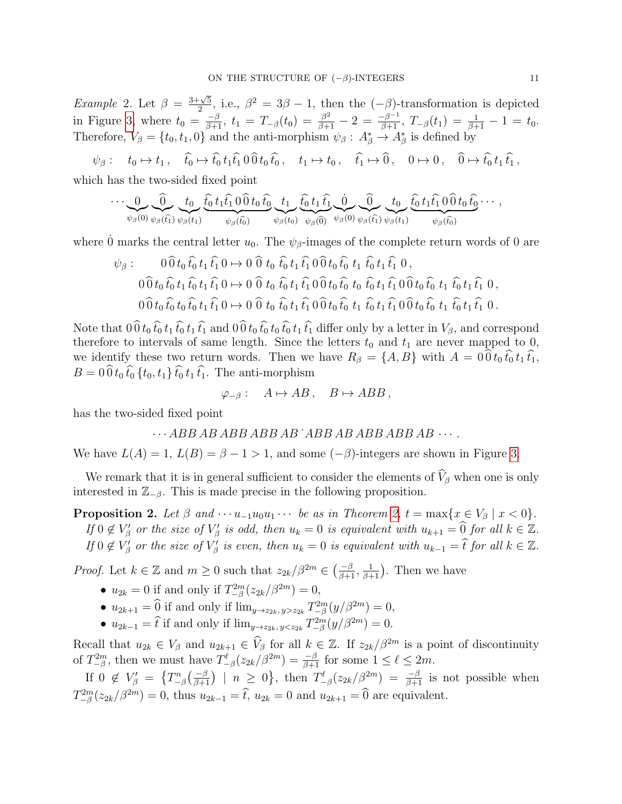*Example* 2. Let  $\beta = \frac{3+\sqrt{5}}{2}$  $\frac{\sqrt{5}}{2}$ , i.e.,  $\beta^2 = 3\beta - 1$ , then the  $(-\beta)$ -transformation is depicted in Figure [3,](#page-11-0) where  $t_0 = \frac{-\beta}{\beta+1}$ ,  $t_1 = T_{-\beta}(t_0) = \frac{\beta^2}{\beta+1} - 2 = \frac{-\beta^{-1}}{\beta+1}$ ,  $T_{-\beta}(t_1) = \frac{1}{\beta+1} - 1 = t_0$ . Therefore,  $V_{\beta} = \{t_0, t_1, 0\}$  and the anti-morphism  $\psi_{\beta}: A_{\beta}^* \to A_{\beta}^*$  is defined by

 $\psi_{\beta}$  :  $t_0 \mapsto t_1$ ,  $\hat{t_0} \mapsto \hat{t_0} t_1 \hat{t_1} \hat{0} \hat{0} t_0 \hat{t_0}$ ,  $t_1 \mapsto t_0$ ,  $\hat{t_1} \mapsto \hat{0}$ ,  $0 \mapsto 0$ ,  $\hat{0} \mapsto \hat{t_0} t_1 \hat{t_1}$ ,

which has the two-sided fixed point

$$
\cdots \underbrace{0}_{\psi_{\beta}(0)} \underbrace{\widehat{0}}_{\psi_{\beta}(t_1)} \underbrace{t_0}_{\psi_{\beta}(t_1)} \underbrace{\widehat{t_0} t_1 \widehat{t_1} \, 0 \, \widehat{0} t_0 \, \widehat{t_0}}_{\psi_{\beta}(t_0)} \underbrace{t_1}_{\psi_{\beta}(t_0)} \underbrace{\widehat{t_0} t_1 \widehat{t_1}}_{\psi_{\beta}(0)} \underbrace{\widehat{0}}_{\psi_{\beta}(t_1)} \underbrace{t_0}_{\psi_{\beta}(t_1)} \underbrace{\widehat{t_0} t_1 \widehat{t_1} \, 0 \, \widehat{0} t_0 \, \widehat{t_0}}_{\psi_{\beta}(t_0)} \cdots,
$$

where 0 marks the central letter  $u_0$ . The  $\psi_{\beta}$ -images of the complete return words of 0 are

$$
\psi_{\beta} : \qquad 0 \widehat{0} t_0 \widehat{t_0} t_1 \widehat{t_1} 0 \mapsto 0 \widehat{0} t_0 \widehat{t_0} t_1 \widehat{t_1} 0 \widehat{0} t_0 \widehat{t_0} t_1 \widehat{t_0} t_1 \widehat{t_1} 0,
$$
\n
$$
0 \widehat{0} t_0 \widehat{t_0} t_1 \widehat{t_0} t_1 \widehat{t_1} 0 \mapsto 0 \widehat{0} t_0 \widehat{t_0} t_1 \widehat{t_1} 0 \widehat{0} t_0 \widehat{t_0} t_0 \widehat{t_0} t_1 \widehat{t_1} 0 \widehat{0} t_0 \widehat{t_0} t_1 \widehat{t_1} 0
$$
\n
$$
0 \widehat{0} t_0 \widehat{t_0} t_0 \widehat{t_0} t_1 \widehat{t_1} 0 \mapsto 0 \widehat{0} t_0 \widehat{t_0} t_1 \widehat{t_1} 0 \widehat{0} t_0 \widehat{t_0} t_1 \widehat{t_1} 0 \widehat{0} t_0 \widehat{t_0} t_1 \widehat{t_1} 0 \widehat{0} t_0 \widehat{t_0} t_1 \widehat{t_1} 0.
$$

Note that  $0\hat{0}t_0 \hat{t}_0 t_1 \hat{t}_0 t_1 \hat{t}_1$  and  $0\hat{0}t_0 \hat{t}_0 t_0 \hat{t}_0 t_1 \hat{t}_1$  differ only by a letter in  $V_\beta$ , and correspond therefore to intervals of same length. Since the letters  $t_0$  and  $t_1$  are never mapped to 0, we identify these two return words. Then we have  $R_{\beta} = \{A, B\}$  with  $A = 0.0 t_0 t_0 t_1 t_1$ ,  $B = 0 \widehat{0} t_0 \widehat{t}_0 \{t_0, t_1\} \widehat{t}_0 t_1 \widehat{t}_1$ . The anti-morphism

$$
\varphi_{-\beta}: A \mapsto AB, B \mapsto ABB,
$$

has the two-sided fixed point

$$
\cdots ABB\,ABB\,ABB\,AB\,AB\,ABB\,ABB\,ABB\,AB\cdots.
$$

We have  $L(A) = 1$ ,  $L(B) = \beta - 1 > 1$ , and some  $(-\beta)$ -integers are shown in Figure [3.](#page-11-0)

We remark that it is in general sufficient to consider the elements of  $\hat{V}_{\beta}$  when one is only interested in  $\mathbb{Z}_{-\beta}$ . This is made precise in the following proposition.

<span id="page-10-0"></span>**Proposition 2.** Let  $\beta$  and  $\cdots u_{-1}u_0u_1\cdots$  be as in Theorem [2,](#page-6-0)  $t = \max\{x \in V_\beta \mid x < 0\}$ . If  $0 \notin V_{\beta}'$  or the size of  $V_{\beta}'$  is odd, then  $u_k = 0$  is equivalent with  $u_{k+1} = \widehat{0}$  for all  $k \in \mathbb{Z}$ . If  $0 \notin V'_\beta$  or the size of  $V'_\beta$  is even, then  $u_k = 0$  is equivalent with  $u_{k-1} = \hat{t}$  for all  $k \in \mathbb{Z}$ .

*Proof.* Let  $k \in \mathbb{Z}$  and  $m \geq 0$  such that  $z_{2k}/\beta^{2m} \in \left(\frac{-\beta}{\beta+1}, \frac{1}{\beta+1}\right)$ . Then we have

- $u_{2k} = 0$  if and only if  $T_{-\beta}^{2m}(z_{2k}/\beta^{2m}) = 0$ ,
- $u_{2k+1} = \widehat{0}$  if and only if  $\lim_{y \to z_{2k}, y > z_{2k}} T_{-\beta}^{2m}(y/\beta^{2m}) = 0$ ,
- $u_{2k-1} = \hat{t}$  if and only if  $\lim_{y \to z_{2k}, y < z_{2k}} T_{-\beta}^{2m}(y/\beta^{2m}) = 0.$

Recall that  $u_{2k} \in V_\beta$  and  $u_{2k+1} \in \widehat{V}_\beta$  for all  $k \in \mathbb{Z}$ . If  $z_{2k}/\beta^{2m}$  is a point of discontinuity of  $T_{-\beta}^{2m}$ , then we must have  $T_{-\beta}^{\ell}(z_{2k}/\beta^{2m}) = \frac{-\beta}{\beta+1}$  for some  $1 \leq \ell \leq 2m$ .

If  $0 \notin V_{\beta}' = \{T_{-\beta}^n(\frac{-\beta}{\beta+1}) \mid n \geq 0\}$ , then  $T_{-\beta}^{\ell}(z_{2k}/\beta^{2m}) = \frac{-\beta}{\beta+1}$  is not possible when  $T_{-\beta}^{2m}(z_{2k}/\beta^{2m}) = 0$ , thus  $u_{2k-1} = \hat{t}$ ,  $u_{2k} = 0$  and  $u_{2k+1} = \hat{0}$  are equivalent.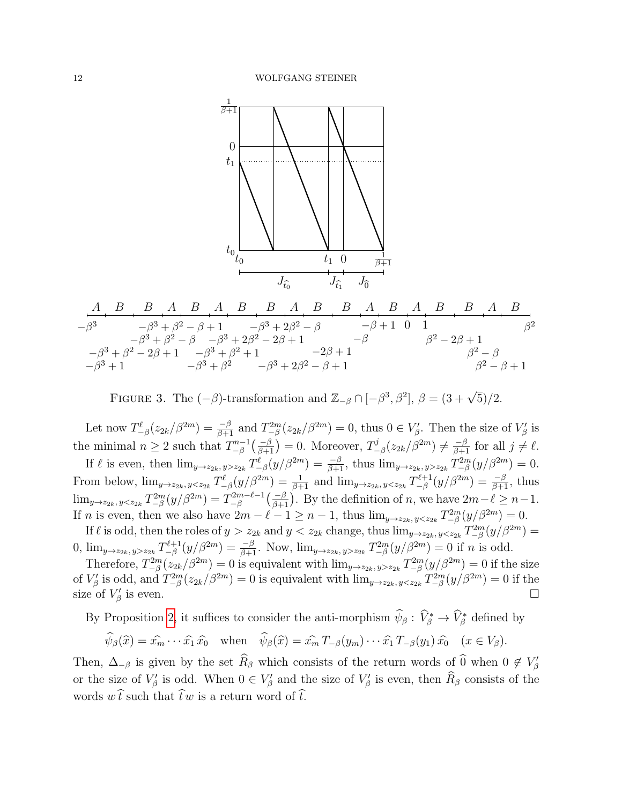

−β 3 −β <sup>3</sup> + 1 −β <sup>3</sup> + β <sup>2</sup> − 2β + 1 −β <sup>3</sup> + β <sup>2</sup> − β −β <sup>3</sup> + β <sup>2</sup> − β + 1 −β <sup>3</sup> + β 2 −β <sup>3</sup> + β <sup>2</sup> + 1 −β <sup>3</sup> + 2β <sup>2</sup> − 2β + 1 −β <sup>3</sup> + 2β <sup>2</sup> − β −β <sup>3</sup> + 2β <sup>2</sup> − β + 1 −2β + 1 −β −β + 1 0 1 β <sup>2</sup> − 2β + 1 β <sup>2</sup> − β β <sup>2</sup> − β + 1 β 2 A B B A B A B B A B B A B A B B A B

<span id="page-11-0"></span>FIGURE 3. The  $(-\beta)$ -transformation and  $\mathbb{Z}_{-\beta} \cap [-\beta^3, \beta^2], \ \beta = (3 + \sqrt{5})/2.$ 

Let now  $T_{-\beta}^{\ell}(z_{2k}/\beta^{2m}) = \frac{-\beta}{\beta+1}$  and  $T_{-\beta}^{2m}(z_{2k}/\beta^{2m}) = 0$ , thus  $0 \in V_{\beta}'$ . Then the size of  $V_{\beta}'$  is the minimal  $n \geq 2$  such that  $T^{n-1}_{\beta}$  $\binom{m-1}{-\beta}$  = 0. Moreover,  $T^j_ \frac{\gamma j}{\gamma-\beta}(z_{2k}/\beta^{2m}) \neq \frac{-\beta}{\beta+1}$  for all  $j \neq \ell$ . If  $\ell$  is even, then  $\lim_{y\to z_{2k}, y>z_{2k}} T_{-\beta}^{\ell}(y/\beta^{2m}) = \frac{-\beta}{\beta+1}$ , thus  $\lim_{y\to z_{2k}, y>z_{2k}} T_{-\beta}^{2m}(y/\beta^{2m}) = 0$ .

From below,  $\lim_{y\to z_{2k}} y_{\langle z_{2k} \rangle} T_{-\beta}^{\ell}(y/\beta^{2m}) = \frac{1}{\beta+1}$  and  $\lim_{y\to z_{2k}} y_{\langle z_{2k} \rangle} T_{-\beta}^{\ell+1}$  $\frac{\pi^{2}+1}{\pi\beta}(y/\beta^{2m})=\frac{-\beta}{\beta+1}$ , thus  $\lim_{y \to z_{2k}, y < z_{2k}} T^{2m}_{-\beta}(y/\beta^{2m}) = T^{2m-\ell-1}_{-\beta}$  $2m^{-\ell-1}\left(\frac{-\beta}{\beta+1}\right)$ . By the definition of n, we have  $2m-\ell \geq n-1$ . If *n* is even, then we also have  $2m - \ell - 1 \ge n - 1$ , thus  $\lim_{y \to z_{2k}} \sum_{y \le z_{2k}} T_{-\beta}^{2m}(y/\beta^{2m}) = 0$ . If  $\ell$  is odd, then the roles of  $y > z_{2k}$  and  $y < z_{2k}$  change, thus  $\lim_{y\to z_{2k}, y\le z_{2k}} T_{-\beta}^{2m}(y/\beta^{2m}) =$ 

0,  $\lim_{y\to z_{2k}, y>z_{2k}} T_{-\beta}^{\ell+1}$  $\int_{-\beta}^{\beta+1} (y/\beta^{2m}) = \frac{-\beta}{\beta+1}$ . Now,  $\lim_{y\to z_{2k}, y>z_{2k}} T_{-\beta}^{2m}(y/\beta^{2m}) = 0$  if *n* is odd.

Therefore,  $T_{-\beta}^{2m}(z_{2k}/\beta^{2m})=0$  is equivalent with  $\lim_{y\to z_{2k}, y>z_{2k}} T_{-\beta}^{2m}(y/\beta^{2m})=0$  if the size of  $V'_\beta$  is odd, and  $T_{-\beta}^{2m}(z_{2k}/\beta^{2m})=0$  is equivalent with  $\lim_{y\to z_{2k}, y\leq z_{2k}} T_{-\beta}^{2m}(y/\beta^{2m})=0$  if the size of  $V'_\beta$ is even.  $\square$ 

By Proposition [2,](#page-10-0) it suffices to consider the anti-morphism  $\hat{\psi}_{\beta}: \hat{V}_{\beta}^* \to \hat{V}_{\beta}^*$  defined by

$$
\widehat{\psi}_{\beta}(\widehat{x}) = \widehat{x_m} \cdots \widehat{x_1} \widehat{x_0} \quad \text{when} \quad \widehat{\psi}_{\beta}(\widehat{x}) = \widehat{x_m} T_{-\beta}(y_m) \cdots \widehat{x_1} T_{-\beta}(y_1) \widehat{x_0} \quad (x \in V_{\beta}).
$$

Then,  $\Delta_{-\beta}$  is given by the set  $\widehat{R}_{\beta}$  which consists of the return words of  $\widehat{0}$  when  $0 \notin V'_{\beta}$ or the size of  $V'_\beta$  is odd. When  $0 \in V'_\beta$  and the size of  $V'_\beta$  is even, then  $\widehat{R}_\beta$  consists of the words  $w\hat{t}$  such that  $\hat{t}w$  is a return word of  $\hat{t}$ .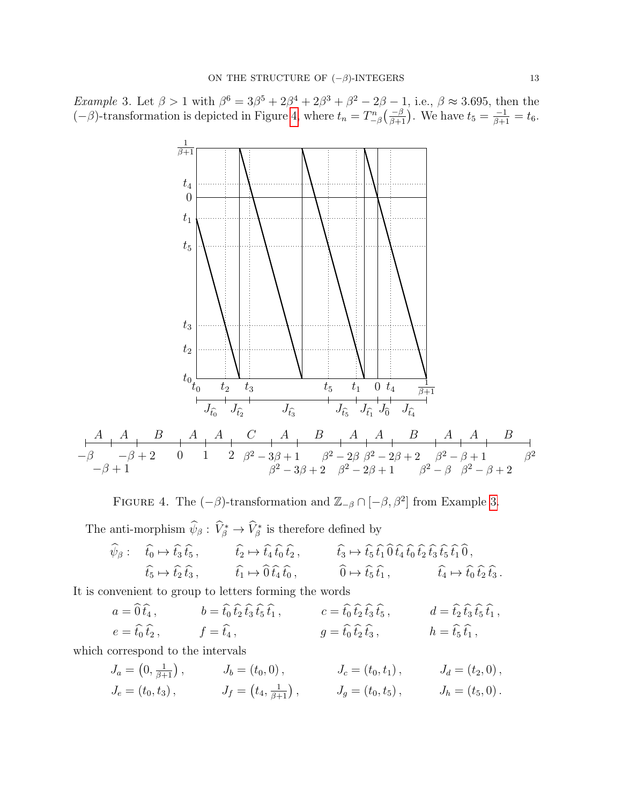<span id="page-12-1"></span>*Example* 3. Let  $\beta > 1$  with  $\beta^6 = 3\beta^5 + 2\beta^4 + 2\beta^3 + \beta^2 - 2\beta - 1$ , i.e.,  $\beta \approx 3.695$ , then the  $(-\beta)$ -transformation is depicted in Figure [4,](#page-12-0) where  $t_n = T_{-\beta}^n\left(\frac{-\beta}{\beta+1}\right)$ . We have  $t_5 = \frac{-1}{\beta+1} = t_6$ .



<span id="page-12-0"></span>FIGURE 4. The  $(-\beta)$ -transformation and  $\mathbb{Z}_{-\beta} \cap [-\beta, \beta^2]$  from Example [3.](#page-12-1)

The anti-morphism  $\widehat{\psi}_{\beta}: \widehat{V}_{\beta}^* \to \widehat{V}_{\beta}^*$  is therefore defined by

$$
\widehat{\psi}_{\beta}: \quad \widehat{t_0} \mapsto \widehat{t_3} \widehat{t_5}, \qquad \widehat{t_2} \mapsto \widehat{t_4} \widehat{t_0} \widehat{t_2}, \qquad \widehat{t_3} \mapsto \widehat{t_5} \widehat{t_1} \widehat{0} \widehat{t_4} \widehat{t_0} \widehat{t_2} \widehat{t_3} \widehat{t_5} \widehat{t_1} \widehat{0}, \n\widehat{t_5} \mapsto \widehat{t_2} \widehat{t_3}, \qquad \widehat{t_1} \mapsto \widehat{0} \widehat{t_4} \widehat{t_0}, \qquad \widehat{0} \mapsto \widehat{t_5} \widehat{t_1}, \qquad \widehat{t_4} \mapsto \widehat{t_0} \widehat{t_2} \widehat{t_3}.
$$

It is convenient to group to letters forming the words

$$
a = \hat{0} \hat{t}_4
$$
,  $b = \hat{t}_0 \hat{t}_2 \hat{t}_3 \hat{t}_5 \hat{t}_1$ ,  $c = \hat{t}_0 \hat{t}_2 \hat{t}_3 \hat{t}_5$ ,  $d = \hat{t}_2 \hat{t}_3 \hat{t}_5 \hat{t}_1$ ,  
\n $e = \hat{t}_0 \hat{t}_2$ ,  $f = \hat{t}_4$ ,  $g = \hat{t}_0 \hat{t}_2 \hat{t}_3$ ,  $h = \hat{t}_5 \hat{t}_1$ ,

which correspond to the intervals

$$
J_a = \left(0, \frac{1}{\beta + 1}\right), \qquad J_b = \left(t_0, 0\right), \qquad J_c = \left(t_0, t_1\right), \qquad J_d = \left(t_2, 0\right),
$$
  
\n
$$
J_e = \left(t_0, t_3\right), \qquad J_f = \left(t_4, \frac{1}{\beta + 1}\right), \qquad J_g = \left(t_0, t_5\right), \qquad J_h = \left(t_5, 0\right).
$$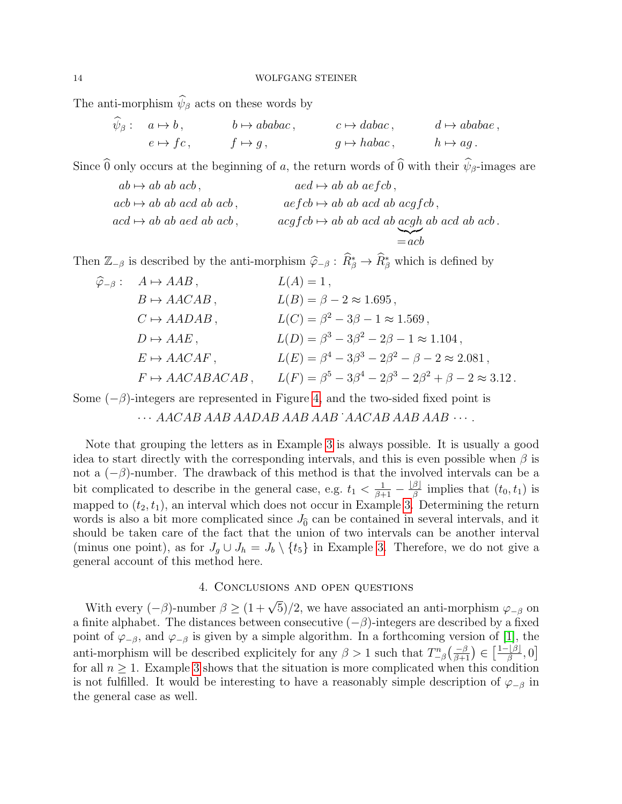The anti-morphism  $\hat{\psi}_{\beta}$  acts on these words by

$$
\psi_{\beta}
$$
:  $a \mapsto b$ ,  $b \mapsto ababac$ ,  $c \mapsto dabac$ ,  $d \mapsto ababae$ ,  
\n $e \mapsto fc$ ,  $f \mapsto g$ ,  $g \mapsto habac$ ,  $h \mapsto ag$ .

Since  $\widehat{0}$  only occurs at the beginning of a, the return words of  $\widehat{0}$  with their  $\widehat{\psi}_{\beta}$ -images are

$$
ab \mapsto ab \, ab \, acb
$$
,  $acd \mapsto ab \, ab \, aefcb$ ,  
\n $acb \mapsto ab \, ab \, acd \, ab \, acb$ ,  $aefcb \mapsto ab \, ab \, acd \, ab \, acgfcb$ ,  
\n $acd \mapsto ab \, ab \, acd \, ab \, acdfcb \mapsto ab \, ab \, acd \, ab \, acgh \, ab \, acd \, ab \, acb$ .  
\n $= acb$ 

Then  $\mathbb{Z}_{-\beta}$  is described by the anti-morphism  $\hat{\varphi}_{-\beta} : \hat{R}^*_{\beta} \to \hat{R}^*_{\beta}$  which is defined by

| $\widehat{\varphi}_{-\beta}: A \mapsto AAB,$ | $L(A) = 1$ ,                                                                 |
|----------------------------------------------|------------------------------------------------------------------------------|
| $B \mapsto AACAB$ ,                          | $L(B) = \beta - 2 \approx 1.695,$                                            |
| $C \mapsto AADAB$ ,                          | $L(C) = \beta^2 - 3\beta - 1 \approx 1.569$ ,                                |
| $D \mapsto AAE$ ,                            | $L(D) = \beta^3 - 3\beta^2 - 2\beta - 1 \approx 1.104$ ,                     |
| $E \mapsto AACAF$ ,                          | $L(E) = \beta^4 - 3\beta^3 - 2\beta^2 - \beta - 2 \approx 2.081$ ,           |
| $F \mapsto AACABACAB$ ,                      | $L(F) = \beta^5 - 3\beta^4 - 2\beta^3 - 2\beta^2 + \beta - 2 \approx 3.12$ . |

Some  $(-\beta)$ -integers are represented in Figure [4,](#page-12-0) and the two-sided fixed point is

 $\cdots$  AACAB AAB AADAB AAB AAB `AACAB AAB AAB  $\cdots$ .

Note that grouping the letters as in Example [3](#page-12-1) is always possible. It is usually a good idea to start directly with the corresponding intervals, and this is even possible when  $\beta$  is not a  $(-\beta)$ -number. The drawback of this method is that the involved intervals can be a bit complicated to describe in the general case, e.g.  $t_1 < \frac{1}{\beta+1} - \frac{|\beta|}{\beta}$  $\frac{\beta}{\beta}$  implies that  $(t_0, t_1)$  is mapped to  $(t_2, t_1)$ , an interval which does not occur in Example [3.](#page-12-1) Determining the return words is also a bit more complicated since  $J_{\hat{0}}$  can be contained in several intervals, and it should be taken care of the fact that the union of two intervals can be another interval (minus one point), as for  $J_g \cup J_h = J_b \setminus \{t_5\}$  in Example [3.](#page-12-1) Therefore, we do not give a general account of this method here.

## 4. Conclusions and open questions

With every  $(-\beta)$ -number  $\beta \ge (1 + \sqrt{5})/2$ , we have associated an anti-morphism  $\varphi_{-\beta}$  on a finite alphabet. The distances between consecutive  $(-\beta)$ -integers are described by a fixed point of  $\varphi_{-\beta}$ , and  $\varphi_{-\beta}$  is given by a simple algorithm. In a forthcoming version of [\[1\]](#page-14-0), the anti-morphism will be described explicitely for any  $\beta > 1$  such that  $T_{-\beta}^n\left(\frac{-\beta}{\beta+1}\right) \in \left[\frac{1-|\beta|}{\beta}\right]$  $\frac{[\beta]}{\beta},0]$ for all  $n \geq 1$ . Example [3](#page-12-1) shows that the situation is more complicated when this condition is not fulfilled. It would be interesting to have a reasonably simple description of  $\varphi_{-\beta}$  in the general case as well.